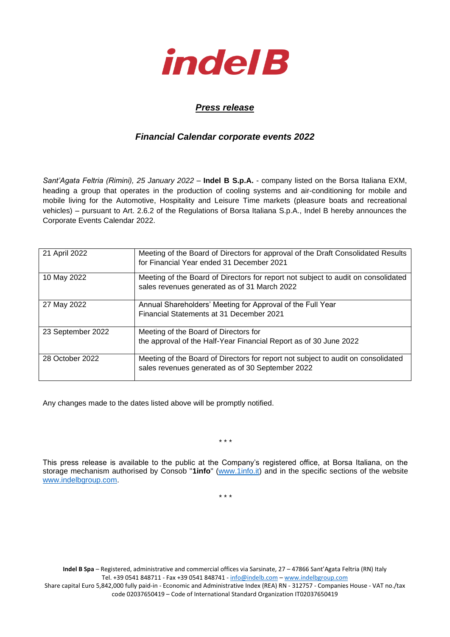

## *Press release*

## *Financial Calendar corporate events 2022*

*Sant'Agata Feltria (Rimini), 25 January 2022* – **Indel B S.p.A.** - company listed on the Borsa Italiana EXM, heading a group that operates in the production of cooling systems and air-conditioning for mobile and mobile living for the Automotive, Hospitality and Leisure Time markets (pleasure boats and recreational vehicles) – pursuant to Art. 2.6.2 of the Regulations of Borsa Italiana S.p.A., Indel B hereby announces the Corporate Events Calendar 2022.

| 21 April 2022     | Meeting of the Board of Directors for approval of the Draft Consolidated Results<br>for Financial Year ended 31 December 2021         |  |
|-------------------|---------------------------------------------------------------------------------------------------------------------------------------|--|
| 10 May 2022       | Meeting of the Board of Directors for report not subject to audit on consolidated<br>sales revenues generated as of 31 March 2022     |  |
| 27 May 2022       | Annual Shareholders' Meeting for Approval of the Full Year<br>Financial Statements at 31 December 2021                                |  |
| 23 September 2022 | Meeting of the Board of Directors for<br>the approval of the Half-Year Financial Report as of 30 June 2022                            |  |
| 28 October 2022   | Meeting of the Board of Directors for report not subject to audit on consolidated<br>sales revenues generated as of 30 September 2022 |  |

Any changes made to the dates listed above will be promptly notified.

\* \* \*

This press release is available to the public at the Company's registered office, at Borsa Italiana, on the storage mechanism authorised by Consob "**1info**" [\(www.1info.it\)](file:///C:/Users/ddelietovollaro/AppData/Local/Microsoft/Windows/INetCache/Content.Outlook/T87B94UR/www.1info.it) and in the specific sections of the website [www.indelbgroup.com.](http://www.indelbgroup.com/)

\* \* \*

**Indel B Spa** – Registered, administrative and commercial offices via Sarsinate, 27 – 47866 Sant'Agata Feltria (RN) Italy Tel. +39 0541 848711 - Fax +39 0541 848741 - [info@indelb.com](mailto:info@indelb.com) – [www.indelbgroup.com](http://www.indelbgroup.com/)

Share capital Euro 5,842,000 fully paid-in - Economic and Administrative Index (REA) RN - 312757 - Companies House - VAT no./tax code 02037650419 – Code of International Standard Organization IT02037650419